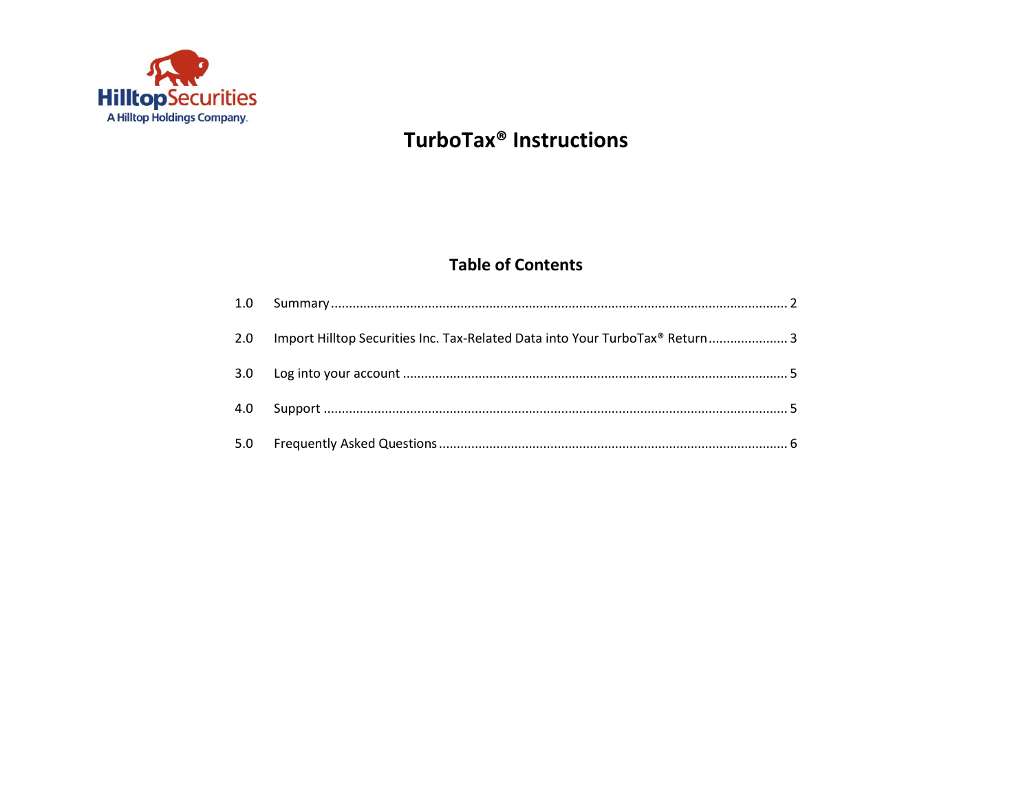

# **TurboTax<sup>®</sup> Instructions**

## **Table of Contents**

| 2.0 Import Hilltop Securities Inc. Tax-Related Data into Your TurboTax® Return 3 |
|----------------------------------------------------------------------------------|
|                                                                                  |
|                                                                                  |
|                                                                                  |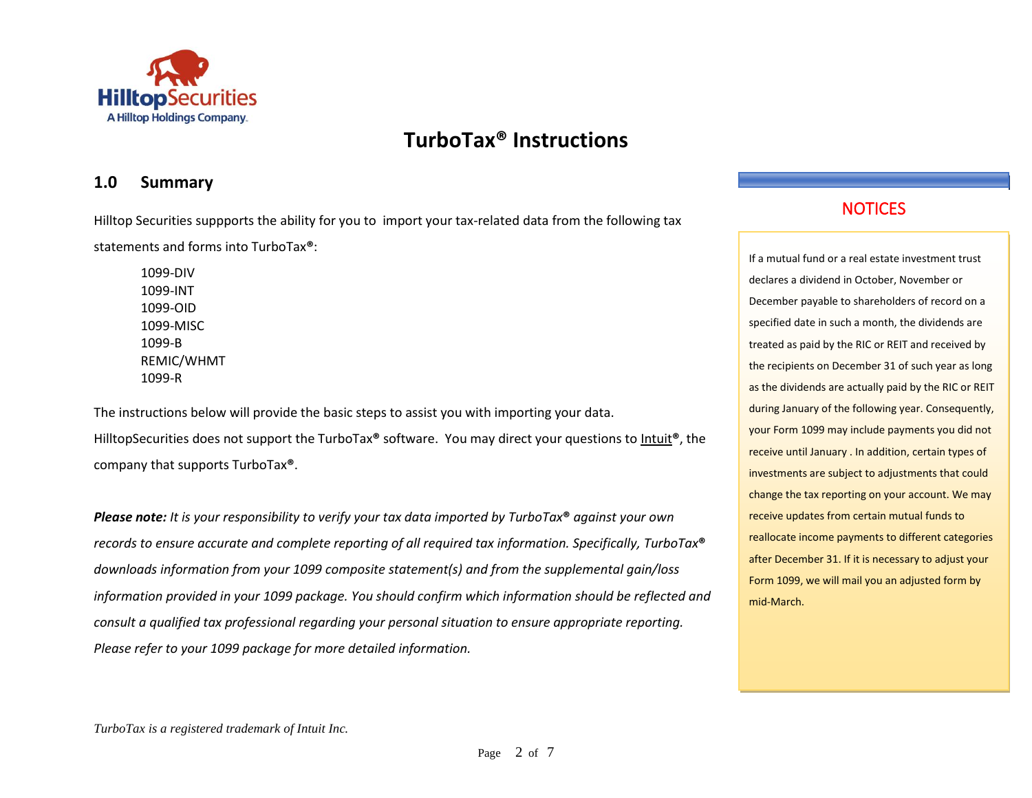

### <span id="page-1-0"></span>**1.0 Summary**

Hilltop Securities suppports the ability for you to import your tax-related data from the following tax statements and forms into TurboTax**®**:

1099-DIV 1099-INT 1099-OID 1099-MISC 1099-B REMIC/WHMT 1099-R

The instructions below will provide the basic steps to assist you with importing your data. HilltopSecurities does not support the TurboTax**®** software. You may direct your questions t[o Intuit](http://turbotax.intuit.com/)**®**, the company that supports TurboTax**®**.

*Please note: It is your responsibility to verify your tax data imported by TurboTax***®** *against your own records to ensure accurate and complete reporting of all required tax information. Specifically, TurboTax***®** *downloads information from your 1099 composite statement(s) and from the supplemental gain/loss information provided in your 1099 package. You should confirm which information should be reflected and consult a qualified tax professional regarding your personal situation to ensure appropriate reporting. Please refer to your 1099 package for more detailed information.*

## **NOTICES**

If a mutual fund or a real estate investment trust declares a dividend in October, November or December payable to shareholders of record on a specified date in such a month, the dividends are treated as paid by the RIC or REIT and received by the recipients on December 31 of such year as long as the dividends are actually paid by the RIC or REIT during January of the following year. Consequently, your Form 1099 may include payments you did not receive until January . In addition, certain types of investments are subject to adjustments that could change the tax reporting on your account. We may receive updates from certain mutual funds to reallocate income payments to different categories after December 31. If it is necessary to adjust your Form 1099, we will mail you an adjusted form by mid-March.

*TurboTax is a registered trademark of Intuit Inc.*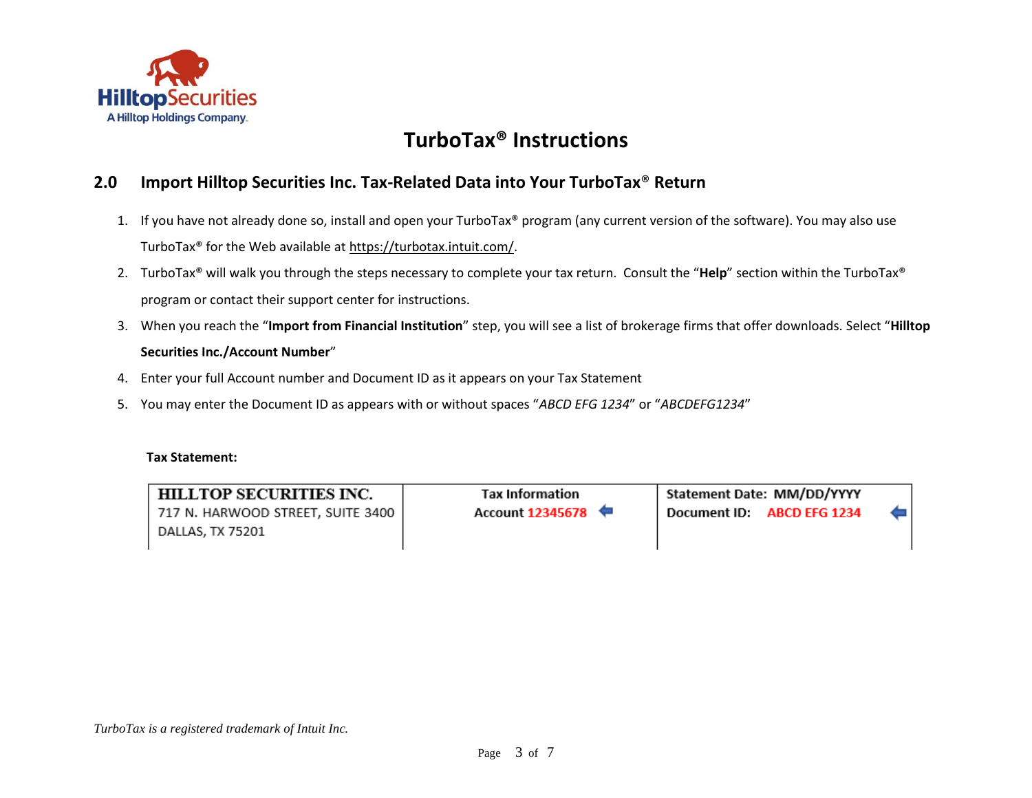

### <span id="page-2-0"></span>**2.0 Import Hilltop Securities Inc. Tax-Related Data into Your TurboTax**® **Return**

- 1. If you have not already done so, install and open your TurboTax® program (any current version of the software). You may also use TurboTax® for the Web available at [https://turbotax.intuit.com/.](https://turbotax.intuit.com/)
- 2. TurboTax® will walk you through the steps necessary to complete your tax return. Consult the "**Help**" section within the TurboTax® program or contact their support center for instructions.
- 3. When you reach the "**Import from Financial Institution**" step, you will see a list of brokerage firms that offer downloads. Select "**Hilltop Securities Inc./Account Number**"
- 4. Enter your full Account number and Document ID as it appears on your Tax Statement
- 5. You may enter the Document ID as appears with or without spaces "*ABCD EFG 1234*" or "*ABCDEFG1234*"

#### **Tax Statement:**

HILLTOP SECURITIES INC. 717 N. HARWOOD STREET, SUITE 3400 DALLAS, TX 75201

**Tax Information Account 12345678**  Statement Date: MM/DD/YYYY Document ID: ABCD EFG 1234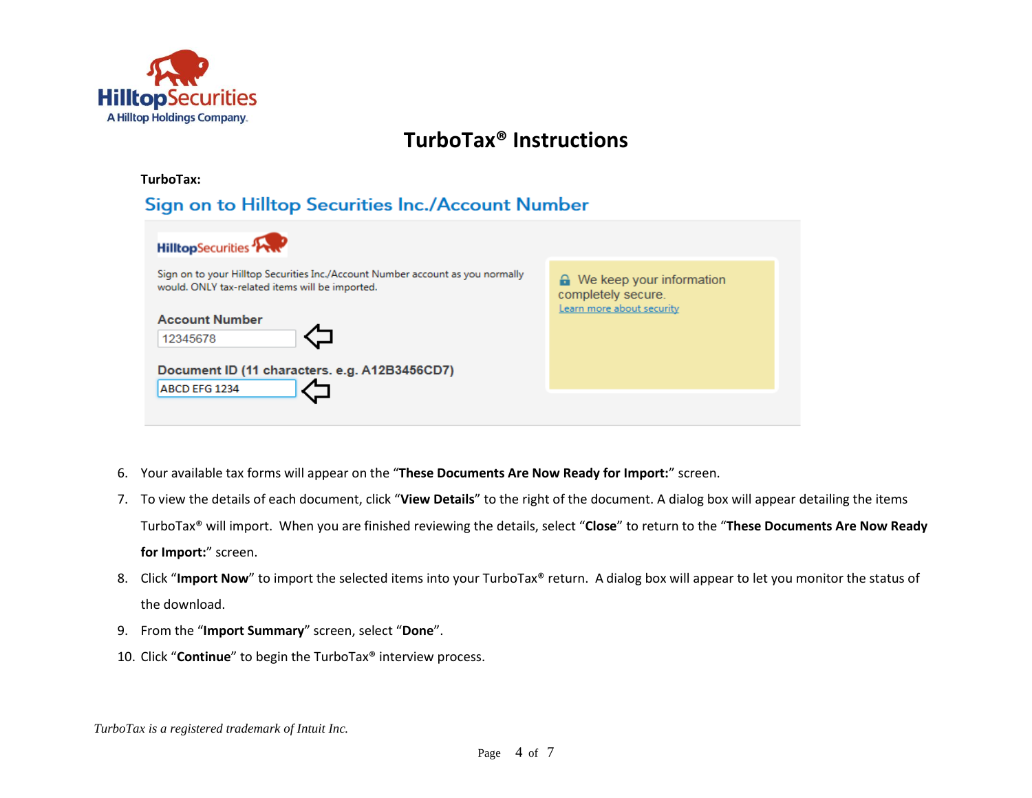

| <b>HilltopSecurities</b>                                                                                                                                               |                                                                                       |
|------------------------------------------------------------------------------------------------------------------------------------------------------------------------|---------------------------------------------------------------------------------------|
| Sign on to your Hilltop Securities Inc./Account Number account as you normally<br>would. ONLY tax-related items will be imported.<br><b>Account Number</b><br>12345678 | $\bigcap$ We keep your information<br>completely secure.<br>Learn more about security |
| Document ID (11 characters. e.g. A12B3456CD7)<br>ABCD EFG 1234                                                                                                         |                                                                                       |

- 6. Your available tax forms will appear on the "**These Documents Are Now Ready for Import:**" screen.
- 7. To view the details of each document, click "**View Details**" to the right of the document. A dialog box will appear detailing the items TurboTax® will import. When you are finished reviewing the details, select "**Close**" to return to the "**These Documents Are Now Ready for Import:**" screen.
- 8. Click "Import Now" to import the selected items into your TurboTax® return. A dialog box will appear to let you monitor the status of the download.
- 9. From the "**Import Summary**" screen, select "**Done**".
- 10. Click "**Continue**" to begin the TurboTax® interview process.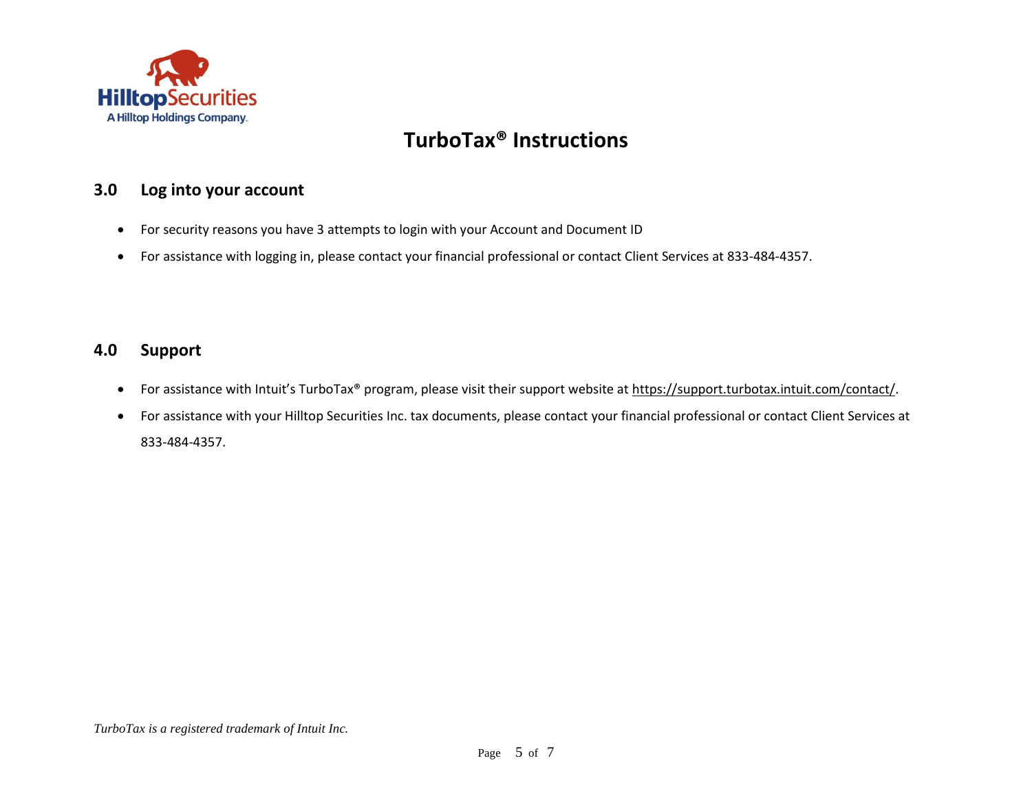

### <span id="page-4-0"></span>**3.0 Log into your account**

- For security reasons you have 3 attempts to login with your Account and Document ID
- For assistance with logging in, please contact your financial professional or contact Client Services at 833-484-4357.

### <span id="page-4-1"></span>**4.0 Support**

- For assistance with Intuit's TurboTax® program, please visit their support website at [https://support.turbotax.intuit.com/contact/.](https://support.turbotax.intuit.com/contact/)
- For assistance with your Hilltop Securities Inc. tax documents, please contact your financial professional or contact Client Services at 833-484-4357.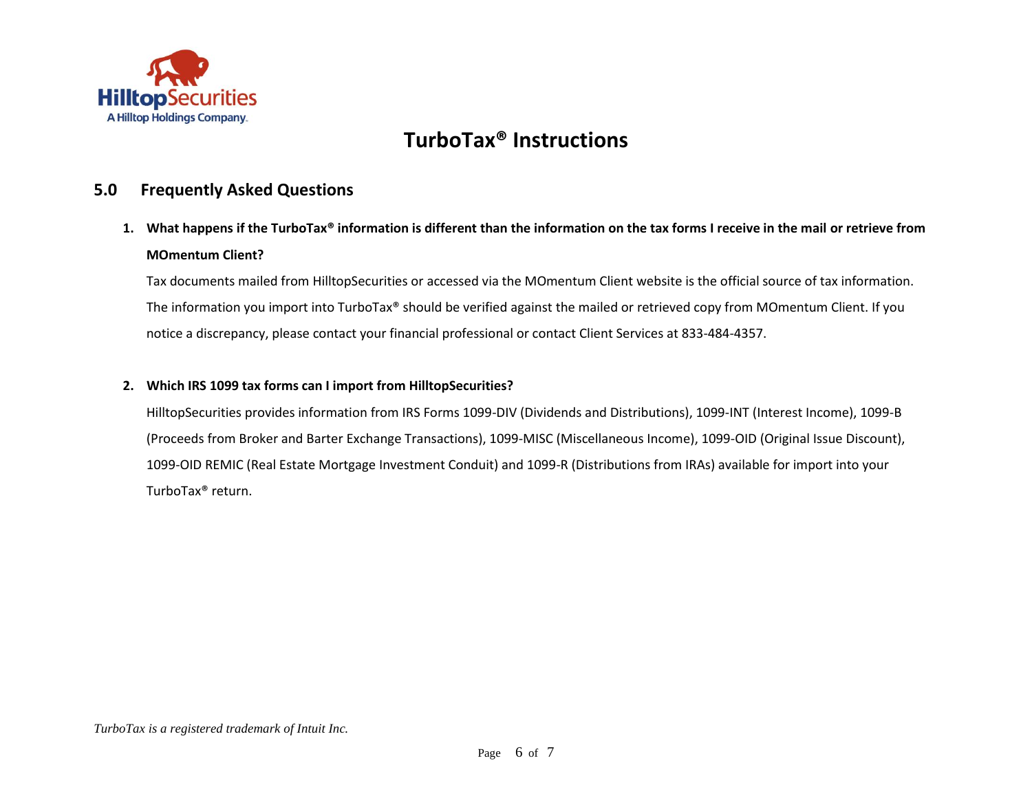

### <span id="page-5-0"></span>**5.0 Frequently Asked Questions**

**1. What happens if the TurboTax® information is different than the information on the tax forms I receive in the mail or retrieve from MOmentum Client?**

Tax documents mailed from HilltopSecurities or accessed via the MOmentum Client website is the official source of tax information. The information you import into TurboTax® should be verified against the mailed or retrieved copy from MOmentum Client. If you notice a discrepancy, please contact your financial professional or contact Client Services at 833-484-4357.

### **2. Which IRS 1099 tax forms can I import from HilltopSecurities?**

HilltopSecurities provides information from IRS Forms 1099-DIV (Dividends and Distributions), 1099-INT (Interest Income), 1099-B (Proceeds from Broker and Barter Exchange Transactions), 1099-MISC (Miscellaneous Income), 1099-OID (Original Issue Discount), 1099-OID REMIC (Real Estate Mortgage Investment Conduit) and 1099-R (Distributions from IRAs) available for import into your TurboTax® return.